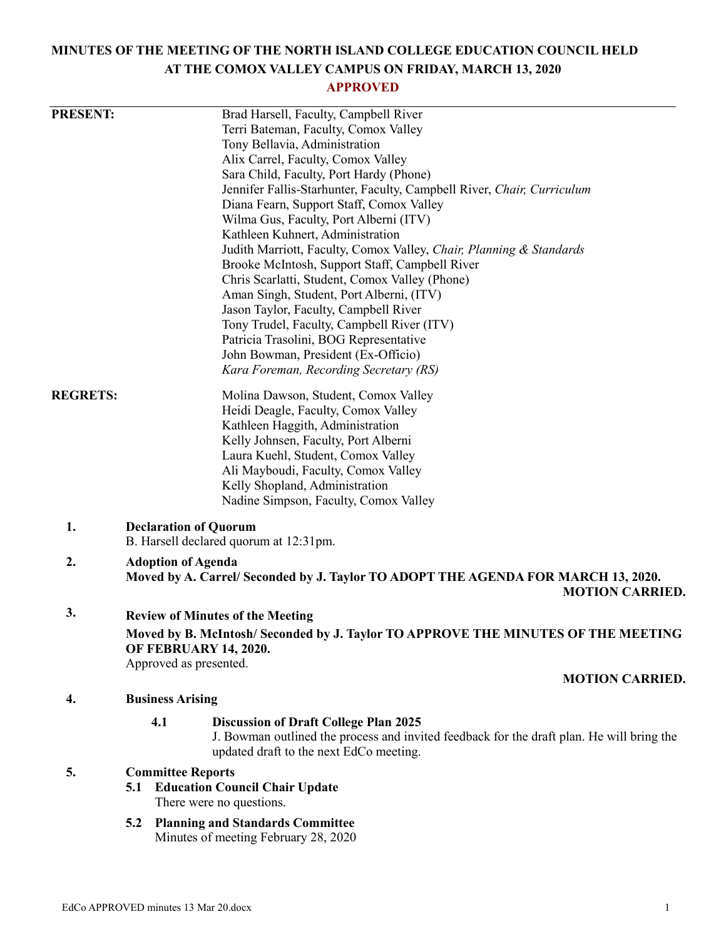# **MINUTES OF THE MEETING OF THE NORTH ISLAND COLLEGE EDUCATION COUNCIL HELD AT THE COMOX VALLEY CAMPUS ON FRIDAY, MARCH 13, 2020**

# **APPROVED**

| <b>PRESENT:</b> |                                                                                                                  |                                              | Brad Harsell, Faculty, Campbell River                                                                                                                                                |                        |  |
|-----------------|------------------------------------------------------------------------------------------------------------------|----------------------------------------------|--------------------------------------------------------------------------------------------------------------------------------------------------------------------------------------|------------------------|--|
|                 |                                                                                                                  |                                              | Terri Bateman, Faculty, Comox Valley                                                                                                                                                 |                        |  |
|                 |                                                                                                                  |                                              | Tony Bellavia, Administration                                                                                                                                                        |                        |  |
|                 |                                                                                                                  |                                              | Alix Carrel, Faculty, Comox Valley                                                                                                                                                   |                        |  |
|                 |                                                                                                                  |                                              | Sara Child, Faculty, Port Hardy (Phone)                                                                                                                                              |                        |  |
|                 |                                                                                                                  |                                              | Jennifer Fallis-Starhunter, Faculty, Campbell River, Chair, Curriculum                                                                                                               |                        |  |
|                 |                                                                                                                  |                                              | Diana Fearn, Support Staff, Comox Valley                                                                                                                                             |                        |  |
|                 |                                                                                                                  |                                              | Wilma Gus, Faculty, Port Alberni (ITV)                                                                                                                                               |                        |  |
|                 |                                                                                                                  |                                              | Kathleen Kuhnert, Administration                                                                                                                                                     |                        |  |
|                 |                                                                                                                  |                                              | Judith Marriott, Faculty, Comox Valley, Chair, Planning & Standards                                                                                                                  |                        |  |
|                 |                                                                                                                  |                                              | Brooke McIntosh, Support Staff, Campbell River                                                                                                                                       |                        |  |
|                 |                                                                                                                  |                                              | Chris Scarlatti, Student, Comox Valley (Phone)                                                                                                                                       |                        |  |
|                 |                                                                                                                  |                                              | Aman Singh, Student, Port Alberni, (ITV)                                                                                                                                             |                        |  |
|                 |                                                                                                                  |                                              | Jason Taylor, Faculty, Campbell River                                                                                                                                                |                        |  |
|                 |                                                                                                                  |                                              | Tony Trudel, Faculty, Campbell River (ITV)                                                                                                                                           |                        |  |
|                 |                                                                                                                  |                                              | Patricia Trasolini, BOG Representative                                                                                                                                               |                        |  |
|                 |                                                                                                                  |                                              | John Bowman, President (Ex-Officio)                                                                                                                                                  |                        |  |
|                 |                                                                                                                  |                                              | Kara Foreman, Recording Secretary (RS)                                                                                                                                               |                        |  |
| <b>REGRETS:</b> |                                                                                                                  |                                              | Molina Dawson, Student, Comox Valley                                                                                                                                                 |                        |  |
|                 |                                                                                                                  |                                              | Heidi Deagle, Faculty, Comox Valley                                                                                                                                                  |                        |  |
|                 |                                                                                                                  |                                              | Kathleen Haggith, Administration                                                                                                                                                     |                        |  |
|                 |                                                                                                                  |                                              | Kelly Johnsen, Faculty, Port Alberni                                                                                                                                                 |                        |  |
|                 |                                                                                                                  |                                              | Laura Kuehl, Student, Comox Valley                                                                                                                                                   |                        |  |
|                 |                                                                                                                  |                                              | Ali Mayboudi, Faculty, Comox Valley                                                                                                                                                  |                        |  |
|                 |                                                                                                                  |                                              | Kelly Shopland, Administration                                                                                                                                                       |                        |  |
|                 |                                                                                                                  |                                              | Nadine Simpson, Faculty, Comox Valley                                                                                                                                                |                        |  |
| 1.              |                                                                                                                  |                                              | <b>Declaration of Quorum</b>                                                                                                                                                         |                        |  |
|                 | B. Harsell declared quorum at 12:31pm.                                                                           |                                              |                                                                                                                                                                                      |                        |  |
| 2.              | <b>Adoption of Agenda</b>                                                                                        |                                              |                                                                                                                                                                                      |                        |  |
|                 | Moved by A. Carrel/ Seconded by J. Taylor TO ADOPT THE AGENDA FOR MARCH 13, 2020.                                |                                              |                                                                                                                                                                                      |                        |  |
|                 |                                                                                                                  |                                              |                                                                                                                                                                                      | <b>MOTION CARRIED.</b> |  |
| 3.              |                                                                                                                  | <b>Review of Minutes of the Meeting</b>      |                                                                                                                                                                                      |                        |  |
|                 | Moved by B. McIntosh/Seconded by J. Taylor TO APPROVE THE MINUTES OF THE MEETING<br><b>OF FEBRUARY 14, 2020.</b> |                                              |                                                                                                                                                                                      |                        |  |
|                 |                                                                                                                  | Approved as presented.                       |                                                                                                                                                                                      |                        |  |
|                 |                                                                                                                  |                                              |                                                                                                                                                                                      | <b>MOTION CARRIED.</b> |  |
| 4.              |                                                                                                                  | <b>Business Arising</b>                      |                                                                                                                                                                                      |                        |  |
|                 |                                                                                                                  | 4.1                                          |                                                                                                                                                                                      |                        |  |
|                 |                                                                                                                  |                                              | <b>Discussion of Draft College Plan 2025</b><br>J. Bowman outlined the process and invited feedback for the draft plan. He will bring the<br>updated draft to the next EdCo meeting. |                        |  |
|                 |                                                                                                                  |                                              |                                                                                                                                                                                      |                        |  |
| 5.              | <b>Committee Reports</b>                                                                                         |                                              |                                                                                                                                                                                      |                        |  |
|                 |                                                                                                                  | <b>Education Council Chair Update</b><br>5.1 |                                                                                                                                                                                      |                        |  |
|                 |                                                                                                                  |                                              | There were no questions.                                                                                                                                                             |                        |  |
|                 | 5.2                                                                                                              |                                              | <b>Planning and Standards Committee</b>                                                                                                                                              |                        |  |
|                 |                                                                                                                  |                                              | Minutes of meeting February 28, 2020                                                                                                                                                 |                        |  |
|                 |                                                                                                                  |                                              |                                                                                                                                                                                      |                        |  |
|                 |                                                                                                                  |                                              |                                                                                                                                                                                      |                        |  |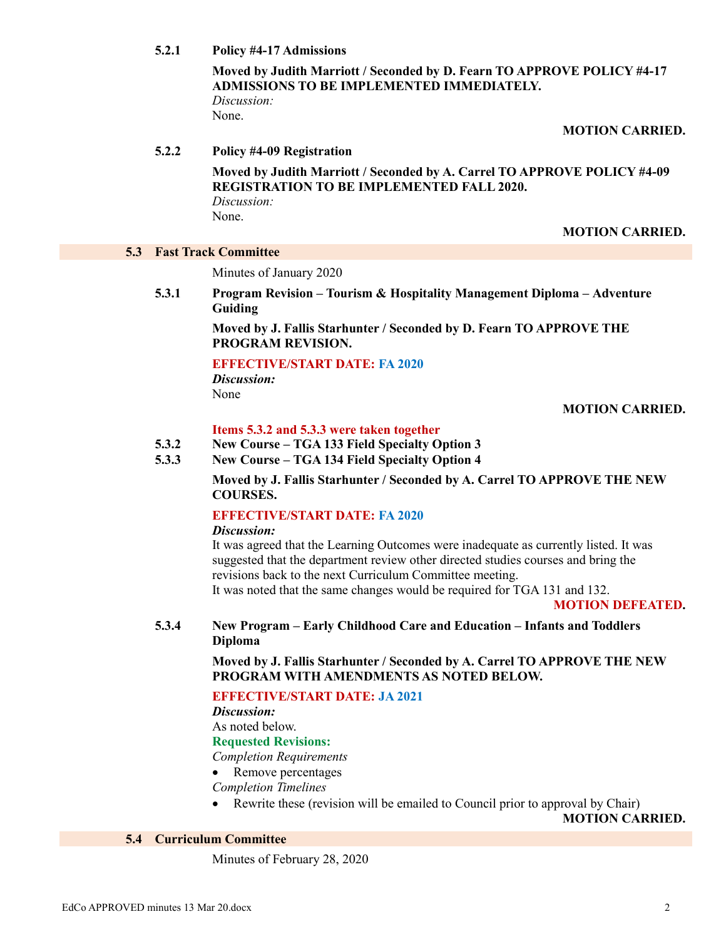**5.2.1 Policy #4-17 Admissions**

**Moved by Judith Marriott / Seconded by D. Fearn TO APPROVE POLICY #4-17 ADMISSIONS TO BE IMPLEMENTED IMMEDIATELY.** *Discussion:*

None.

#### **MOTION CARRIED.**

#### **5.2.2 Policy #4-09 Registration**

**Moved by Judith Marriott / Seconded by A. Carrel TO APPROVE POLICY #4-09 REGISTRATION TO BE IMPLEMENTED FALL 2020.** *Discussion:* None.

**MOTION CARRIED.**

#### **5.3 Fast Track Committee**

Minutes of January 2020

**5.3.1 Program Revision – Tourism & Hospitality Management Diploma – Adventure Guiding**

> **Moved by J. Fallis Starhunter / Seconded by D. Fearn TO APPROVE THE PROGRAM REVISION.**

#### **EFFECTIVE/START DATE: FA 2020**

*Discussion:* None

#### **MOTION CARRIED.**

#### **Items 5.3.2 and 5.3.3 were taken together**

- **5.3.2 New Course – TGA 133 Field Specialty Option 3**
- **5.3.3 New Course – TGA 134 Field Specialty Option 4**

**Moved by J. Fallis Starhunter / Seconded by A. Carrel TO APPROVE THE NEW COURSES.**

# **EFFECTIVE/START DATE: FA 2020**

#### *Discussion:*

It was agreed that the Learning Outcomes were inadequate as currently listed. It was suggested that the department review other directed studies courses and bring the revisions back to the next Curriculum Committee meeting. It was noted that the same changes would be required for TGA 131 and 132.

**MOTION DEFEATED.**

**5.3.4 New Program – Early Childhood Care and Education – Infants and Toddlers Diploma**

**Moved by J. Fallis Starhunter / Seconded by A. Carrel TO APPROVE THE NEW PROGRAM WITH AMENDMENTS AS NOTED BELOW.**

## **EFFECTIVE/START DATE: JA 2021**

*Discussion:*

As noted below.

## **Requested Revisions:**

*Completion Requirements*

• Remove percentages

*Completion Timelines*

Rewrite these (revision will be emailed to Council prior to approval by Chair)

**MOTION CARRIED.**

#### **5.4 Curriculum Committee**

Minutes of February 28, 2020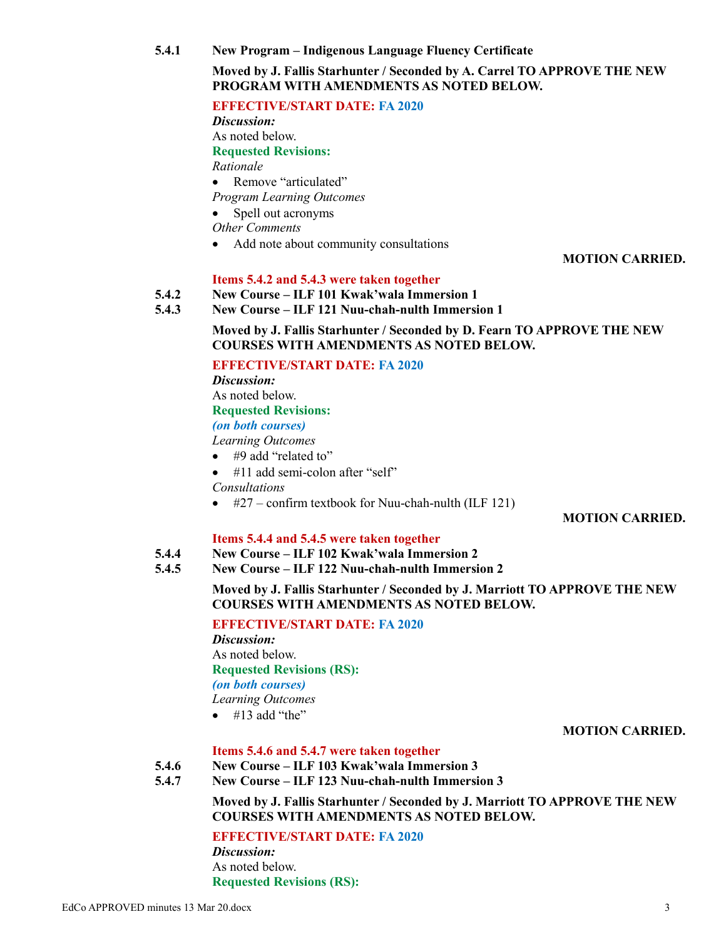**5.4.1 New Program – Indigenous Language Fluency Certificate**

## **Moved by J. Fallis Starhunter / Seconded by A. Carrel TO APPROVE THE NEW PROGRAM WITH AMENDMENTS AS NOTED BELOW.**

## **EFFECTIVE/START DATE: FA 2020**

*Discussion:* As noted below. **Requested Revisions:** *Rationale*

- Remove "articulated"
- *Program Learning Outcomes*
- Spell out acronyms

*Other Comments*

• Add note about community consultations

## **MOTION CARRIED.**

## **Items 5.4.2 and 5.4.3 were taken together**

- **5.4.2 New Course – ILF 101 Kwak'wala Immersion 1**
- **5.4.3 New Course – ILF 121 Nuu-chah-nulth Immersion 1**

**Moved by J. Fallis Starhunter / Seconded by D. Fearn TO APPROVE THE NEW COURSES WITH AMENDMENTS AS NOTED BELOW.**

# **EFFECTIVE/START DATE: FA 2020**

*Discussion:* As noted below.

# **Requested Revisions:**

*(on both courses)*

*Learning Outcomes*

- #9 add "related to"
- $\bullet$  #11 add semi-colon after "self"
- *Consultations*
- $\bullet$  #27 confirm textbook for Nuu-chah-nulth (ILF 121)

## **MOTION CARRIED.**

## **Items 5.4.4 and 5.4.5 were taken together**

- **5.4.4 New Course – ILF 102 Kwak'wala Immersion 2**
- **5.4.5 New Course – ILF 122 Nuu-chah-nulth Immersion 2**

**Moved by J. Fallis Starhunter / Seconded by J. Marriott TO APPROVE THE NEW COURSES WITH AMENDMENTS AS NOTED BELOW.**

**EFFECTIVE/START DATE: FA 2020**

*Discussion:* As noted below. **Requested Revisions (RS):** *(on both courses) Learning Outcomes*  $\bullet$  #13 add "the"

## **MOTION CARRIED.**

## **Items 5.4.6 and 5.4.7 were taken together**

- **5.4.6 New Course – ILF 103 Kwak'wala Immersion 3**
- **5.4.7 New Course – ILF 123 Nuu-chah-nulth Immersion 3**

**Moved by J. Fallis Starhunter / Seconded by J. Marriott TO APPROVE THE NEW COURSES WITH AMENDMENTS AS NOTED BELOW.**

**EFFECTIVE/START DATE: FA 2020**

*Discussion:* As noted below. **Requested Revisions (RS):**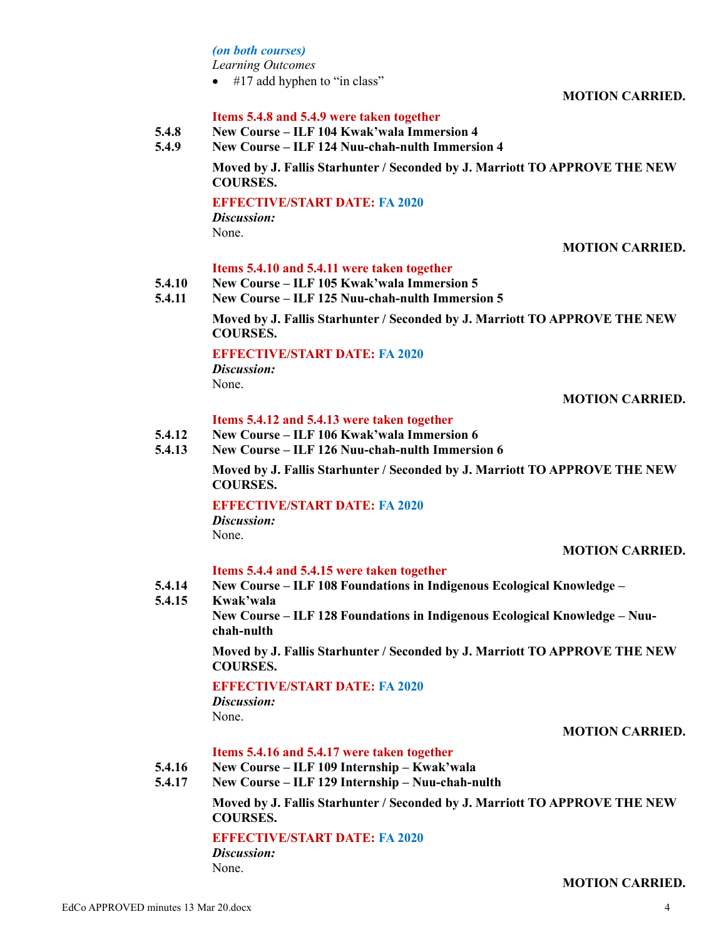## *(on both courses)*

*Learning Outcomes*

 $\bullet$  #17 add hyphen to "in class"

**MOTION CARRIED.**

## **Items 5.4.8 and 5.4.9 were taken together**

- **5.4.8 New Course – ILF 104 Kwak'wala Immersion 4**
- **5.4.9 New Course – ILF 124 Nuu-chah-nulth Immersion 4**

**Moved by J. Fallis Starhunter / Seconded by J. Marriott TO APPROVE THE NEW COURSES.**

#### **EFFECTIVE/START DATE: FA 2020**

*Discussion:* None.

#### **MOTION CARRIED.**

## **Items 5.4.10 and 5.4.11 were taken together**

- **5.4.10 New Course – ILF 105 Kwak'wala Immersion 5**
- **5.4.11 New Course – ILF 125 Nuu-chah-nulth Immersion 5**

**Moved by J. Fallis Starhunter / Seconded by J. Marriott TO APPROVE THE NEW COURSES.**

#### **EFFECTIVE/START DATE: FA 2020**

*Discussion:* None.

## **MOTION CARRIED.**

#### **Items 5.4.12 and 5.4.13 were taken together**

- **5.4.12 New Course – ILF 106 Kwak'wala Immersion 6**
- **5.4.13 New Course – ILF 126 Nuu-chah-nulth Immersion 6**

**Moved by J. Fallis Starhunter / Seconded by J. Marriott TO APPROVE THE NEW COURSES.**

## **EFFECTIVE/START DATE: FA 2020**

*Discussion:* None.

#### **MOTION CARRIED.**

## **Items 5.4.4 and 5.4.15 were taken together**

- **5.4.14 New Course – ILF 108 Foundations in Indigenous Ecological Knowledge –**
- **5.4.15 Kwak'wala**

**New Course – ILF 128 Foundations in Indigenous Ecological Knowledge – Nuuchah-nulth**

**Moved by J. Fallis Starhunter / Seconded by J. Marriott TO APPROVE THE NEW COURSES.**

## **EFFECTIVE/START DATE: FA 2020**

*Discussion:* None.

#### **MOTION CARRIED.**

#### **Items 5.4.16 and 5.4.17 were taken together**

- **5.4.16 New Course – ILF 109 Internship – Kwak'wala**
- **5.4.17 New Course – ILF 129 Internship – Nuu-chah-nulth**

## **Moved by J. Fallis Starhunter / Seconded by J. Marriott TO APPROVE THE NEW COURSES.**

## **EFFECTIVE/START DATE: FA 2020**

*Discussion:* None.

# **MOTION CARRIED.**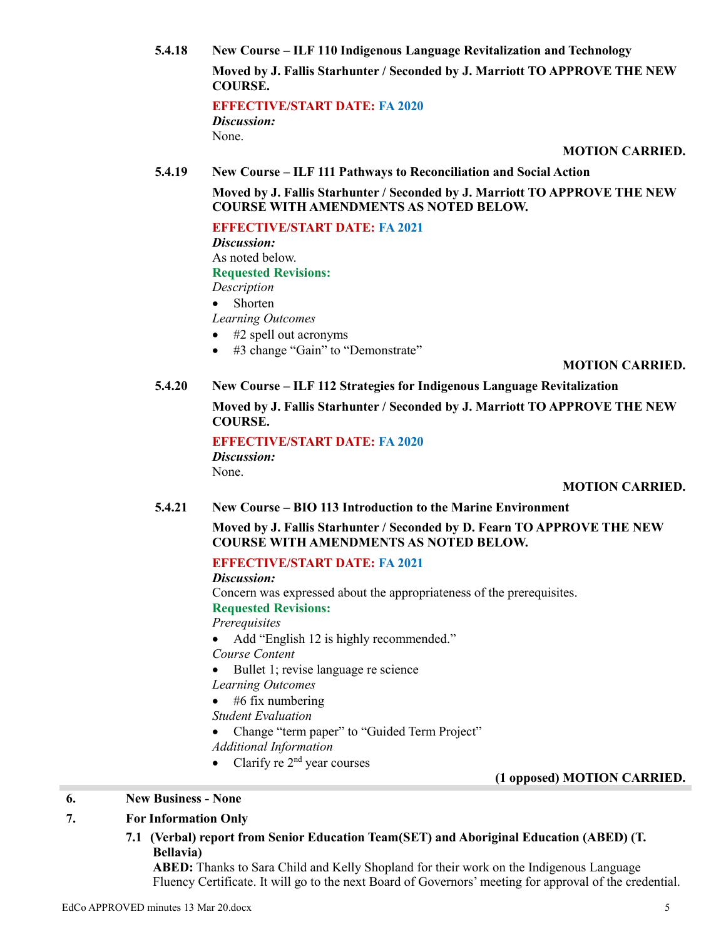**5.4.18 New Course – ILF 110 Indigenous Language Revitalization and Technology Moved by J. Fallis Starhunter / Seconded by J. Marriott TO APPROVE THE NEW COURSE.**

> **EFFECTIVE/START DATE: FA 2020** *Discussion:* None.

> > **MOTION CARRIED.**

**5.4.19 New Course – ILF 111 Pathways to Reconciliation and Social Action**

**Moved by J. Fallis Starhunter / Seconded by J. Marriott TO APPROVE THE NEW COURSE WITH AMENDMENTS AS NOTED BELOW.**

#### **EFFECTIVE/START DATE: FA 2021**

*Discussion:*

As noted below.

# **Requested Revisions:**

- *Description*
- Shorten

*Learning Outcomes*

- #2 spell out acronyms
- #3 change "Gain" to "Demonstrate"

#### **MOTION CARRIED.**

# **5.4.20 New Course – ILF 112 Strategies for Indigenous Language Revitalization**

**Moved by J. Fallis Starhunter / Seconded by J. Marriott TO APPROVE THE NEW COURSE.**

**EFFECTIVE/START DATE: FA 2020**

*Discussion:* None.

## **MOTION CARRIED.**

## **5.4.21 New Course – BIO 113 Introduction to the Marine Environment**

**Moved by J. Fallis Starhunter / Seconded by D. Fearn TO APPROVE THE NEW COURSE WITH AMENDMENTS AS NOTED BELOW.**

## **EFFECTIVE/START DATE: FA 2021**

*Discussion:*

Concern was expressed about the appropriateness of the prerequisites. **Requested Revisions:**

#### *Prerequisites*

• Add "English 12 is highly recommended."

*Course Content*

• Bullet 1; revise language re science

*Learning Outcomes*

 $\bullet$  #6 fix numbering

*Student Evaluation*

Change "term paper" to "Guided Term Project"

*Additional Information*

• Clarify re  $2<sup>nd</sup>$  year courses

## **(1 opposed) MOTION CARRIED.**

## **6. New Business - None**

## **7. For Information Only**

**7.1 (Verbal) report from Senior Education Team(SET) and Aboriginal Education (ABED) (T. Bellavia)**

**ABED:** Thanks to Sara Child and Kelly Shopland for their work on the Indigenous Language Fluency Certificate. It will go to the next Board of Governors' meeting for approval of the credential.